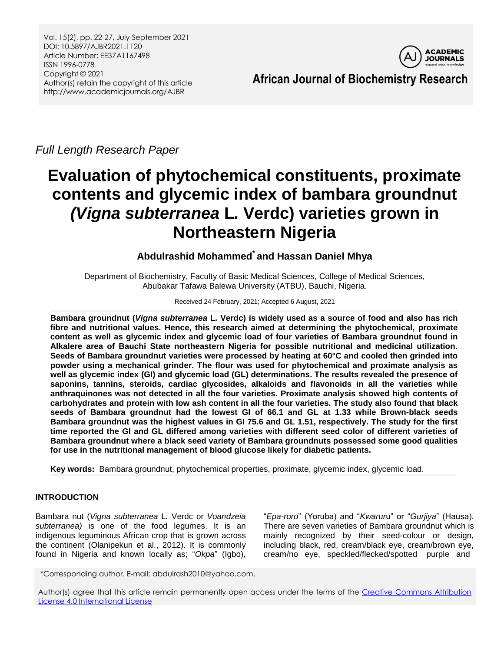Vol. 15(2), pp. 22-27, July-September 2021 DOI: 10.5897/AJBR2021.1120 Article Number: EE37A1167498 ISSN 1996-0778 Copyright © 2021 Author(s) retain the copyright of this article http://www.academicjournals.org/AJBR



**African Journal of Biochemistry Research**

*Full Length Research Paper*

# **Evaluation of phytochemical constituents, proximate contents and glycemic index of bambara groundnut** *(Vigna subterranea* **L***.* **Verdc) varieties grown in Northeastern Nigeria**

## **Abdulrashid Mohammed\* and Hassan Daniel Mhya**

Department of Biochemistry, Faculty of Basic Medical Sciences, College of Medical Sciences, Abubakar Tafawa Balewa University (ATBU), Bauchi, Nigeria.

## Received 24 February, 2021; Accepted 6 August, 2021

**Bambara groundnut (***Vigna subterranea* **L***.* **Verdc) is widely used as a source of food and also has rich fibre and nutritional values. Hence, this research aimed at determining the phytochemical, proximate content as well as glycemic index and glycemic load of four varieties of Bambara groundnut found in Alkalere area of Bauchi State northeastern Nigeria for possible nutritional and medicinal utilization. Seeds of Bambara groundnut varieties were processed by heating at 60°C and cooled then grinded into powder using a mechanical grinder. The flour was used for phytochemical and proximate analysis as well as glycemic index (GI) and glycemic load (GL) determinations. The results revealed the presence of saponins, tannins, steroids, cardiac glycosides, alkaloids and flavonoids in all the varieties while anthraquinones was not detected in all the four varieties. Proximate analysis showed high contents of carbohydrates and protein with low ash content in all the four varieties. The study also found that black seeds of Bambara groundnut had the lowest GI of 66.1 and GL at 1.33 while Brown-black seeds Bambara groundnut was the highest values in GI 75.6 and GL 1.51, respectively. The study for the first time reported the GI and GL differed among varieties with different seed color of different varieties of Bambara groundnut where a black seed variety of Bambara groundnuts possessed some good qualities for use in the nutritional management of blood glucose likely for diabetic patients.**

**Key words:** Bambara groundnut, phytochemical properties, proximate, glycemic index, glycemic load.

## **INTRODUCTION**

Bambara nut (*Vigna subterranea* L*.* Verdc or *Voandzeia subterranea)* is one of the food legumes. It is an indigenous leguminous African crop that is grown across the continent (Olanipekun et al., 2012). It is commonly found in Nigeria and known locally as; "*Okpa*" (Igbo),

"*Epa-roro*" (Yoruba) and "*Kwarur*u" or "*Gurjiya*" (Hausa). There are seven varieties of Bambara groundnut which is mainly recognized by their seed-colour or design, including black, red, cream/black eye, cream/brown eye, cream/no eye, speckled/flecked/spotted purple and

\*Corresponding author. E-mail: abdulrash2010@yahoo.com.

Author(s) agree that this article remain permanently open access under the terms of the Creative Commons [Attribution](http://creativecommons.org/licenses/by/4.0/deed.en_US) License 4.0 [International](http://creativecommons.org/licenses/by/4.0/deed.en_US) License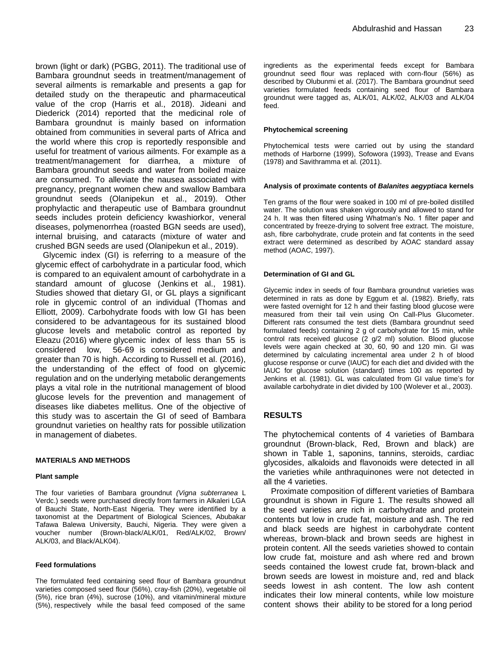brown (light or dark) (PGBG, 2011). The traditional use of Bambara groundnut seeds in treatment/management of several ailments is remarkable and presents a gap for detailed study on the therapeutic and pharmaceutical value of the crop (Harris et al., 2018). Jideani and Diederick (2014) reported that the medicinal role of Bambara groundnut is mainly based on information obtained from communities in several parts of Africa and the world where this crop is reportedly responsible and useful for treatment of various ailments. For example as a treatment/management for diarrhea, a mixture of Bambara groundnut seeds and water from boiled maize are consumed. To alleviate the nausea associated with pregnancy, pregnant women chew and swallow Bambara groundnut seeds (Olanipekun et al., 2019). Other prophylactic and therapeutic use of Bambara groundnut seeds includes protein deficiency kwashiorkor, veneral diseases, polymenorrhea (roasted BGN seeds are used), internal bruising, and cataracts (mixture of water and crushed BGN seeds are used (Olanipekun et al., 2019).

Glycemic index (GI) is referring to a measure of the glycemic effect of carbohydrate in a particular food, which is compared to an equivalent amount of carbohydrate in a standard amount of glucose (Jenkins et al., 1981). Studies showed that dietary GI, or GL plays a significant role in glycemic control of an individual (Thomas and Elliott, 2009). Carbohydrate foods with low GI has been considered to be advantageous for its sustained blood glucose levels and metabolic control as reported by Eleazu (2016) where glycemic index of less than 55 is considered low, 56-69 is considered medium and greater than 70 is high. According to Russell et al. (2016), the understanding of the effect of food on glycemic regulation and on the underlying metabolic derangements plays a vital role in the nutritional management of blood glucose levels for the prevention and management of diseases like diabetes mellitus. One of the objective of this study was to ascertain the GI of seed of Bambara groundnut varieties on healthy rats for possible utilization in management of diabetes.

#### **MATERIALS AND METHODS**

#### **Plant sample**

The four varieties of Bambara groundnut *(Vigna subterranea* L Verdc.) seeds were purchased directly from farmers in Alkaleri LGA of Bauchi State, North-East Nigeria. They were identified by a taxonomist at the Department of Biological Sciences, Abubakar Tafawa Balewa University, Bauchi, Nigeria. They were given a voucher number (Brown-black/ALK/01, Red/ALK/02, Brown/ ALK/03, and Black/ALK04).

#### **Feed formulations**

The formulated feed containing seed flour of Bambara groundnut varieties composed seed flour (56%), cray-fish (20%), vegetable oil (5%), rice bran (4%), sucrose (10%), and vitamin/mineral mixture (5%), respectively while the basal feed composed of the same ingredients as the experimental feeds except for Bambara groundnut seed flour was replaced with corn-flour (56%) as described by Olubunmi et al. (2017). The Bambara groundnut seed varieties formulated feeds containing seed flour of Bambara groundnut were tagged as, ALK/01, ALK/02, ALK/03 and ALK/04 feed.

#### **Phytochemical screening**

Phytochemical tests were carried out by using the standard methods of Harborne (1999), Sofowora (1993), Trease and Evans (1978) and Savithramma et al. (2011).

#### **Analysis of proximate contents of** *Balanites aegyptiaca* **kernels**

Ten grams of the flour were soaked in 100 ml of pre-boiled distilled water. The solution was shaken vigorously and allowed to stand for 24 h. It was then filtered using Whatman's No. 1 filter paper and concentrated by freeze-drying to solvent free extract. The moisture, ash, fibre carbohydrate, crude protein and fat contents in the seed extract were determined as described by AOAC standard assay method (AOAC, 1997).

#### **Determination of GI and GL**

Glycemic index in seeds of four Bambara groundnut varieties was determined in rats as done by Eggum et al. (1982). Briefly, rats were fasted overnight for 12 h and their fasting blood glucose were measured from their tail vein using On Call-Plus Glucometer. Different rats consumed the test diets (Bambara groundnut seed formulated feeds) containing 2 g of carbohydrate for 15 min, while control rats received glucose (2 g/2 ml) solution. Blood glucose levels were again checked at 30, 60, 90 and 120 min. GI was determined by calculating incremental area under 2 h of blood glucose response or curve (IAUC) for each diet and divided with the IAUC for glucose solution (standard) times 100 as reported by Jenkins et al. (1981). GL was calculated from GI value time's for available carbohydrate in diet divided by 100 (Wolever et al., 2003).

## **RESULTS**

The phytochemical contents of 4 varieties of Bambara groundnut (Brown-black, Red, Brown and black) are shown in Table 1, saponins, tannins, steroids, cardiac glycosides, alkaloids and flavonoids were detected in all the varieties while anthraquinones were not detected in all the 4 varieties.

Proximate composition of different varieties of Bambara groundnut is shown in Figure 1. The results showed all the seed varieties are rich in carbohydrate and protein contents but low in crude fat, moisture and ash. The red and black seeds are highest in carbohydrate content whereas, brown-black and brown seeds are highest in protein content. All the seeds varieties showed to contain low crude fat, moisture and ash where red and brown seeds contained the lowest crude fat, brown-black and brown seeds are lowest in moisture and, red and black seeds lowest in ash content. The low ash content indicates their low mineral contents, while low moisture content shows their ability to be stored for a long period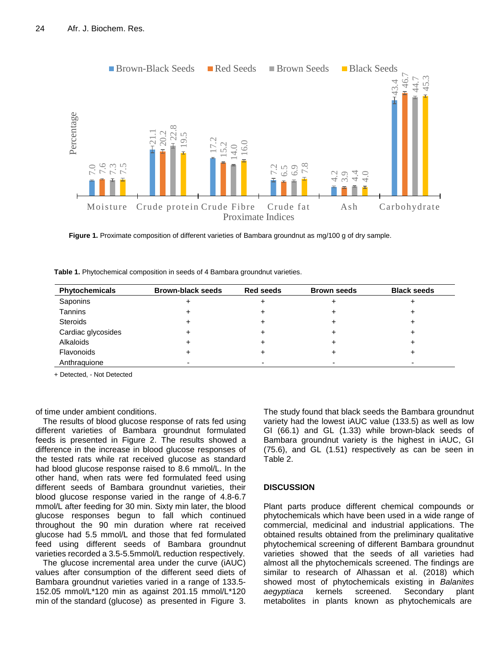

**Figure 1.** Proximate composition of different varieties of Bambara groundnut as mg/100 g of dry sample.

| Table 1. Phytochemical composition in seeds of 4 Bambara groundnut varieties. |  |
|-------------------------------------------------------------------------------|--|
|-------------------------------------------------------------------------------|--|

| Phytochemicals     | <b>Brown-black seeds</b> | <b>Red seeds</b> | <b>Brown seeds</b> | <b>Black seeds</b> |
|--------------------|--------------------------|------------------|--------------------|--------------------|
| Saponins           |                          |                  |                    |                    |
| Tannins            |                          |                  |                    |                    |
| <b>Steroids</b>    |                          |                  |                    |                    |
| Cardiac glycosides |                          |                  |                    |                    |
| Alkaloids          |                          |                  |                    |                    |
| Flavonoids         |                          |                  |                    |                    |
| Anthraquione       |                          |                  |                    |                    |

+ Detected, - Not Detected

of time under ambient conditions.

The results of blood glucose response of rats fed using different varieties of Bambara groundnut formulated feeds is presented in Figure 2. The results showed a difference in the increase in blood glucose responses of the tested rats while rat received glucose as standard had blood glucose response raised to 8.6 mmol/L. In the other hand, when rats were fed formulated feed using different seeds of Bambara groundnut varieties, their blood glucose response varied in the range of 4.8-6.7 mmol/L after feeding for 30 min. Sixty min later, the blood glucose responses begun to fall which continued throughout the 90 min duration where rat received glucose had 5.5 mmol/L and those that fed formulated feed using different seeds of Bambara groundnut varieties recorded a 3.5-5.5mmol/L reduction respectively.

The glucose incremental area under the curve (iAUC) values after consumption of the different seed diets of Bambara groundnut varieties varied in a range of 133.5- 152.05 mmol/L\*120 min as against 201.15 mmol/L\*120 min of the standard (glucose) as presented in Figure 3. The study found that black seeds the Bambara groundnut variety had the lowest iAUC value (133.5) as well as low GI (66.1) and GL (1.33) while brown-black seeds of Bambara groundnut variety is the highest in iAUC, GI (75.6), and GL (1.51) respectively as can be seen in Table 2.

## **DISCUSSION**

Plant parts produce different chemical compounds or phytochemicals which have been used in a wide range of commercial, medicinal and industrial applications. The obtained results obtained from the preliminary qualitative phytochemical screening of different Bambara groundnut varieties showed that the seeds of all varieties had almost all the phytochemicals screened. The findings are similar to research of Alhassan et al. (2018) which showed most of phytochemicals existing in *Balanites aegyptiaca* kernels screened. Secondary plant metabolites in plants known as phytochemicals are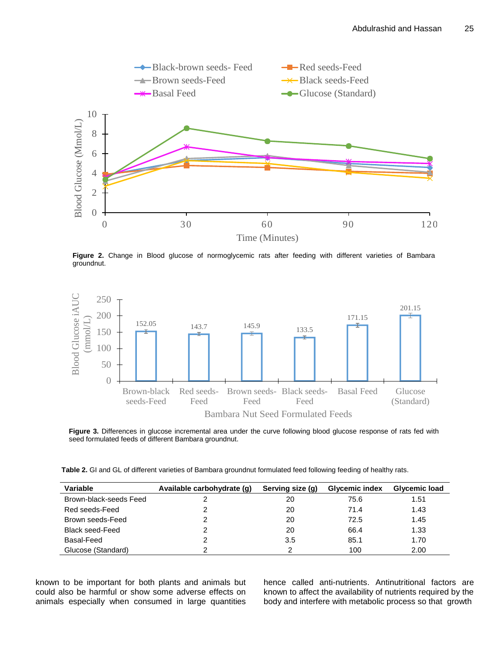

**Figure 2.** Change in Blood glucose of normoglycemic rats after feeding with different varieties of Bambara groundnut.



**Figure 3.** Differences in glucose incremental area under the curve following blood glucose response of rats fed with seed formulated feeds of different Bambara groundnut.

**Table 2.** GI and GL of different varieties of Bambara groundnut formulated feed following feeding of healthy rats.

| Variable               | Available carbohydrate (g) | Serving size (g) | <b>Glycemic index</b> | Glycemic load |
|------------------------|----------------------------|------------------|-----------------------|---------------|
| Brown-black-seeds Feed |                            | 20               | 75.6                  | 1.51          |
| Red seeds-Feed         |                            | 20               | 71.4                  | 1.43          |
| Brown seeds-Feed       |                            | 20               | 72.5                  | 1.45          |
| <b>Black seed-Feed</b> |                            | 20               | 66.4                  | 1.33          |
| Basal-Feed             |                            | 3.5              | 85.1                  | 1.70          |
| Glucose (Standard)     |                            |                  | 100                   | 2.00          |

known to be important for both plants and animals but could also be harmful or show some adverse effects on animals especially when consumed in large quantities hence called anti-nutrients. Antinutritional factors are known to affect the availability of nutrients required by the body and interfere with metabolic process so that growth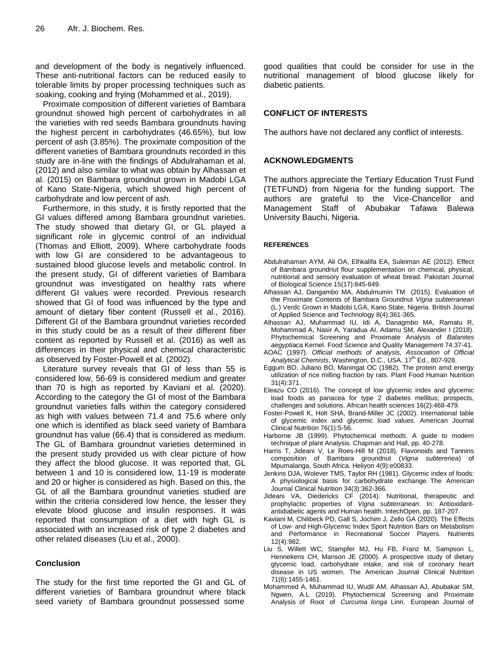and development of the body is negatively influenced. These anti-nutritional factors can be reduced easily to tolerable limits by proper processing techniques such as soaking, cooking and frying (Mohammed et al., 2019).

Proximate composition of different varieties of Bambara groundnut showed high percent of carbohydrates in all the varieties with red seeds Bambara groundnuts having the highest percent in carbohydrates (46.65%), but low percent of ash (3.85%). The proximate composition of the different varieties of Bambara groundnuts recorded in this study are in-line with the findings of Abdulrahaman et al. (2012) and also similar to what was obtain by Alhassan et al. (2015) on Bambara groundnut grown in Madobi LGA of Kano State-Nigeria, which showed high percent of carbohydrate and low percent of ash.

Furthermore, in this study, it is firstly reported that the GI values differed among Bambara groundnut varieties. The study showed that dietary GI, or GL played a significant role in glycemic control of an individual (Thomas and Elliott, 2009). Where carbohydrate foods with low GI are considered to be advantageous to sustained blood glucose levels and metabolic control. In the present study, GI of different varieties of Bambara groundnut was investigated on healthy rats where different GI values were recorded. Previous research showed that GI of food was influenced by the type and amount of dietary fiber content (Russell et al., 2016). Different GI of the Bambara groundnut varieties recorded in this study could be as a result of their different fiber content as reported by Russell et al. (2016) as well as differences in their physical and chemical characteristic as observed by Foster-Powell et al. (2002).

Literature survey reveals that GI of less than 55 is considered low, 56-69 is considered medium and greater than 70 is high as reported by Kaviani et al. (2020). According to the category the GI of most of the Bambara groundnut varieties falls within the category considered as high with values between 71.4 and 75.6 where only one which is identified as black seed variety of Bambara groundnut has value (66.4) that is considered as medium. The GL of Bambara groundnut varieties determined in the present study provided us with clear picture of how they affect the blood glucose. It was reported that, GL between 1 and 10 is considered low, 11-19 is moderate and 20 or higher is considered as high. Based on this, the GL of all the Bambara groundnut varieties studied are within the criteria considered low hence, the lesser they elevate blood glucose and insulin responses. It was reported that consumption of a diet with high GL is associated with an increased risk of type 2 diabetes and other related diseases (Liu et al., 2000).

## **Conclusion**

The study for the first time reported the GI and GL of different varieties of Bambara groundnut where black seed variety of Bambara groundnut possessed some

good qualities that could be consider for use in the nutritional management of blood glucose likely for diabetic patients.

## **CONFLICT OF INTERESTS**

The authors have not declared any conflict of interests.

## **ACKNOWLEDGMENTS**

The authors appreciate the Tertiary Education Trust Fund (TETFUND) from Nigeria for the funding support. The authors are grateful to the Vice-Chancellor and Management Staff of Abubakar Tafawa Balewa University Bauchi, Nigeria.

## **REFERENCES**

- Abdulrahaman AYM, Ali OA, Elhkalifa EA, Suleiman AE (2012). Effect of Bambara groundnut flour supplementation on chemical, physical, nutritional and sensory evaluation of wheat bread. Pakistan Journal of Biological Science 15(17):845-849.
- Alhassan AJ, Dangambo MA, Abdulmumin TM (2015). Evaluation of the Proximate Contents of Bambara Groundnut *Vigna subterranean*  (L.) Verdc Grown in Madobi LGA, Kano State, Nigeria. British Journal of Applied Science and Technology 8(4):361-365.
- Alhassan AJ, Muhammad IU, Idi A, Danagmbo MA, Ramatu R, Mohammad A, Nasir A, Yaradua AI, Adamu SM, Alexander I (2018). Phytochemical Screening and Proximate Analysis of *Balanites aegyptiaca* Kernel. Food Science and Quality Management 74:37-41.
- AOAC (1997). *Official methods of analysis, Association of Official*  Analytical Chemists, Washington, D.C., USA. 17<sup>th</sup> Ed., 807-928.
- Eggum BO, Juliano BO, Maningat OC (1982). The protein amd energy utilization of rice milling fraction by rats. Plant Food Human Nutrition 31(4):371.
- Eleazu CO (2016). The concept of low glycemic index and glycemic load foods as panacea for type 2 diabetes mellitus; prospects, challenges and solutions. African health sciences 16(2):468-479.
- Foster-Powell K, Holt SHA, Brand-Miller JC (2002). International table of glycemic index and glycemic load values. American Journal Clinical Nutrition 76(1):5-56.
- Harborne JB (1999). Phytochemical metho*ds*. A guide to modern technique of plant Analysis. Chapman and Hall, pp. 40-278.
- Harris T, Jideani V, Le Roes-Hill M (2018). Flavonoids and Tannins composition of Bambara groundnut (*Vigna subterenea*) of Mpumalanga, South Africa. Heliyon 4(9):e00833.
- Jenkins DJA, Wolever TMS, Taylor RH (1981). Glycemic index of foods: A physiological basis for carbohydrate exchange. The American Journal Clinical Nutrition 34(3):362-366.
- Jideani VA, Diedericks CF (2014). Nutritional, therapeutic and prophylactic properties of *Vigna subterranean*. In: Antioxidantantidiabetic agents and Human health. IntechOpen, pp. 187-207.
- Kaviani M, Chilibeck PD, Gall S, Jochim J, Zello GA (2020). The Effects of Low- and High-Glycemic Index Sport Nutrition Bars on Metabolism and Performance in Recreational Soccer Players. Nutrients 12(4):982.
- Liu S, Willett WC, Stampfer MJ, Hu FB, Franz M, Sampson L, Hennekens CH, Manson JE (2000). A prospective study of dietary glycemic load, carbohydrate intake, and risk of coronary heart disease in US women. The American Journal Clinical Nutrition 71(6):1455-1461.
- Mohammed A, Muhammad IU, Wudil AM, Alhassan AJ, Abubakar SM, Ngwen, A.L (2019). Phytochemical Screening and Proximate Analysis of Root of *Curcuma longa* Linn. European Journal of